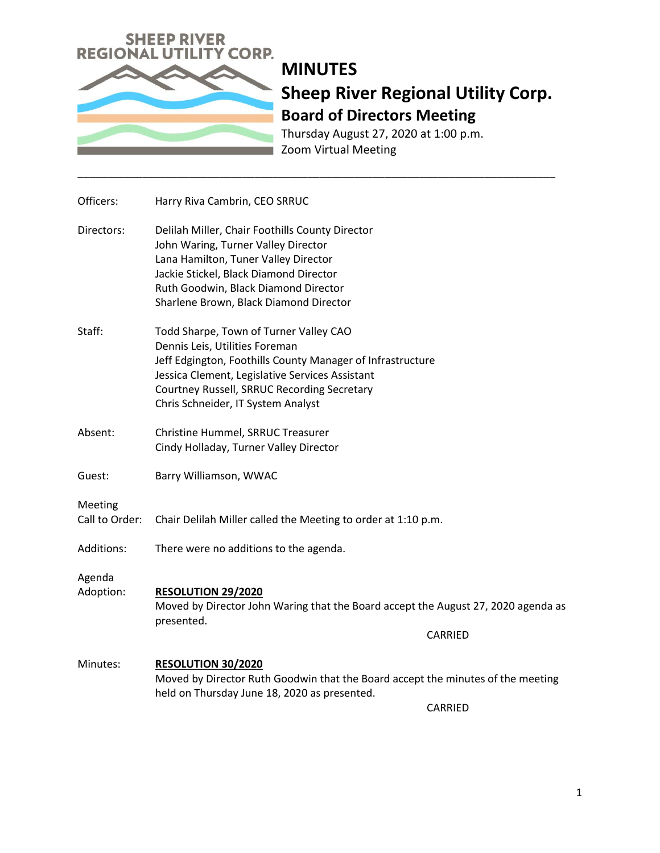

Thursday August 27, 2020 at 1:00 p.m. Zoom Virtual Meeting

| Officers:                 | Harry Riva Cambrin, CEO SRRUC                                                                                                                                                                                                                                                  |
|---------------------------|--------------------------------------------------------------------------------------------------------------------------------------------------------------------------------------------------------------------------------------------------------------------------------|
| Directors:                | Delilah Miller, Chair Foothills County Director<br>John Waring, Turner Valley Director<br>Lana Hamilton, Tuner Valley Director<br>Jackie Stickel, Black Diamond Director<br>Ruth Goodwin, Black Diamond Director<br>Sharlene Brown, Black Diamond Director                     |
| Staff:                    | Todd Sharpe, Town of Turner Valley CAO<br>Dennis Leis, Utilities Foreman<br>Jeff Edgington, Foothills County Manager of Infrastructure<br>Jessica Clement, Legislative Services Assistant<br>Courtney Russell, SRRUC Recording Secretary<br>Chris Schneider, IT System Analyst |
| Absent:                   | Christine Hummel, SRRUC Treasurer<br>Cindy Holladay, Turner Valley Director                                                                                                                                                                                                    |
| Guest:                    | Barry Williamson, WWAC                                                                                                                                                                                                                                                         |
| Meeting<br>Call to Order: | Chair Delilah Miller called the Meeting to order at 1:10 p.m.                                                                                                                                                                                                                  |
| Additions:                | There were no additions to the agenda.                                                                                                                                                                                                                                         |
| Agenda<br>Adoption:       | <b>RESOLUTION 29/2020</b><br>Moved by Director John Waring that the Board accept the August 27, 2020 agenda as<br>presented.<br>CARRIED                                                                                                                                        |
| Minutes:                  | <b>RESOLUTION 30/2020</b><br>Moved by Director Ruth Goodwin that the Board accept the minutes of the meeting<br>held on Thursday June 18, 2020 as presented.<br><b>CARRIED</b>                                                                                                 |

\_\_\_\_\_\_\_\_\_\_\_\_\_\_\_\_\_\_\_\_\_\_\_\_\_\_\_\_\_\_\_\_\_\_\_\_\_\_\_\_\_\_\_\_\_\_\_\_\_\_\_\_\_\_\_\_\_\_\_\_\_\_\_\_\_\_\_\_\_\_\_\_\_\_\_\_\_\_\_\_\_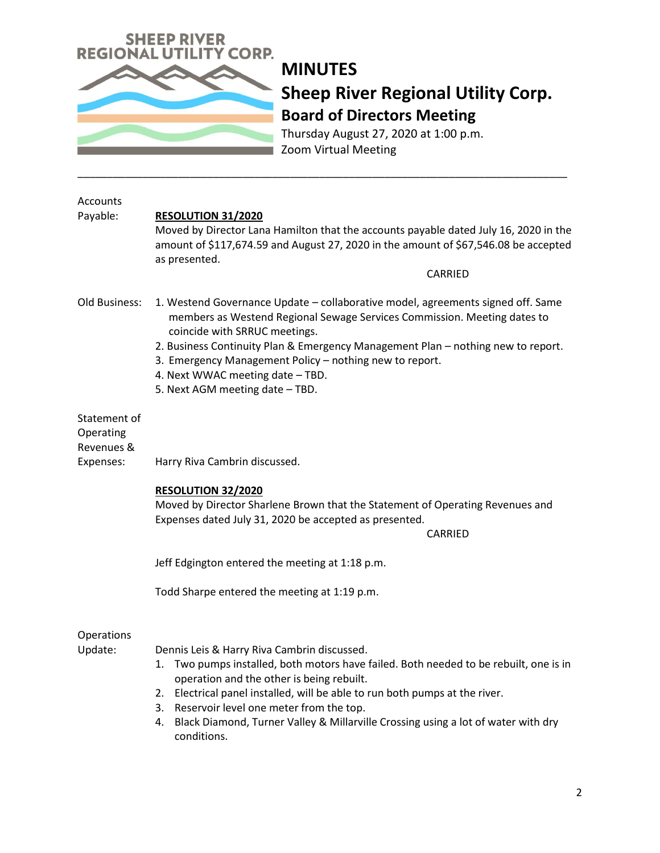

Thursday August 27, 2020 at 1:00 p.m. Zoom Virtual Meeting

| Accounts<br>Payable:                                 | <b>RESOLUTION 31/2020</b><br>Moved by Director Lana Hamilton that the accounts payable dated July 16, 2020 in the<br>amount of \$117,674.59 and August 27, 2020 in the amount of \$67,546.08 be accepted<br>as presented.<br>CARRIED                                                                                                                                                                                        |
|------------------------------------------------------|-----------------------------------------------------------------------------------------------------------------------------------------------------------------------------------------------------------------------------------------------------------------------------------------------------------------------------------------------------------------------------------------------------------------------------|
| Old Business:                                        | 1. Westend Governance Update - collaborative model, agreements signed off. Same<br>members as Westend Regional Sewage Services Commission. Meeting dates to<br>coincide with SRRUC meetings.<br>2. Business Continuity Plan & Emergency Management Plan - nothing new to report.<br>3. Emergency Management Policy - nothing new to report.<br>4. Next WWAC meeting date - TBD.<br>5. Next AGM meeting date - TBD.          |
| Statement of<br>Operating<br>Revenues &<br>Expenses: | Harry Riva Cambrin discussed.                                                                                                                                                                                                                                                                                                                                                                                               |
|                                                      | <b>RESOLUTION 32/2020</b><br>Moved by Director Sharlene Brown that the Statement of Operating Revenues and<br>Expenses dated July 31, 2020 be accepted as presented.<br>CARRIED                                                                                                                                                                                                                                             |
|                                                      | Jeff Edgington entered the meeting at 1:18 p.m.                                                                                                                                                                                                                                                                                                                                                                             |
|                                                      | Todd Sharpe entered the meeting at 1:19 p.m.                                                                                                                                                                                                                                                                                                                                                                                |
| Operations<br>Update:                                | Dennis Leis & Harry Riva Cambrin discussed.<br>Two pumps installed, both motors have failed. Both needed to be rebuilt, one is in<br>1.<br>operation and the other is being rebuilt.<br>2. Electrical panel installed, will be able to run both pumps at the river.<br>3. Reservoir level one meter from the top.<br>Black Diamond, Turner Valley & Millarville Crossing using a lot of water with dry<br>4.<br>conditions. |

\_\_\_\_\_\_\_\_\_\_\_\_\_\_\_\_\_\_\_\_\_\_\_\_\_\_\_\_\_\_\_\_\_\_\_\_\_\_\_\_\_\_\_\_\_\_\_\_\_\_\_\_\_\_\_\_\_\_\_\_\_\_\_\_\_\_\_\_\_\_\_\_\_\_\_\_\_\_\_\_\_\_\_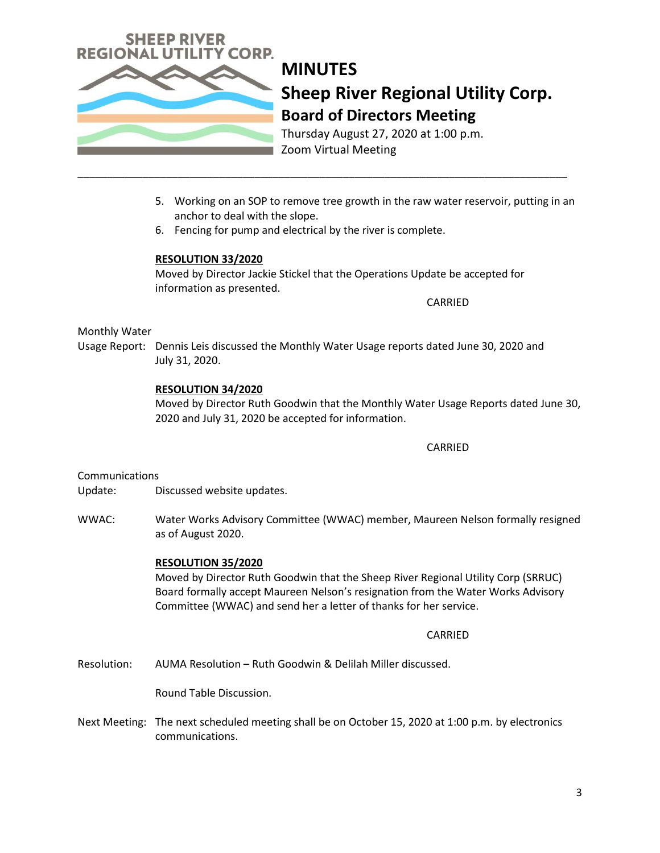

Thursday August 27, 2020 at 1:00 p.m. Zoom Virtual Meeting

- 5. Working on an SOP to remove tree growth in the raw water reservoir, putting in an anchor to deal with the slope.
- 6. Fencing for pump and electrical by the river is complete.

\_\_\_\_\_\_\_\_\_\_\_\_\_\_\_\_\_\_\_\_\_\_\_\_\_\_\_\_\_\_\_\_\_\_\_\_\_\_\_\_\_\_\_\_\_\_\_\_\_\_\_\_\_\_\_\_\_\_\_\_\_\_\_\_\_\_\_\_\_\_\_\_\_\_\_\_\_\_\_\_\_\_\_

## **RESOLUTION 33/2020**

Moved by Director Jackie Stickel that the Operations Update be accepted for information as presented.

CARRIED

### Monthly Water

Usage Report: Dennis Leis discussed the Monthly Water Usage reports dated June 30, 2020 and July 31, 2020.

### **RESOLUTION 34/2020**

Moved by Director Ruth Goodwin that the Monthly Water Usage Reports dated June 30, 2020 and July 31, 2020 be accepted for information.

#### CARRIED

#### **Communications**

Update: Discussed website updates.

WWAC: Water Works Advisory Committee (WWAC) member, Maureen Nelson formally resigned as of August 2020.

### **RESOLUTION 35/2020**

Moved by Director Ruth Goodwin that the Sheep River Regional Utility Corp (SRRUC) Board formally accept Maureen Nelson's resignation from the Water Works Advisory Committee (WWAC) and send her a letter of thanks for her service.

#### CARRIED

Resolution: AUMA Resolution – Ruth Goodwin & Delilah Miller discussed.

Round Table Discussion.

Next Meeting: The next scheduled meeting shall be on October 15, 2020 at 1:00 p.m. by electronics communications.